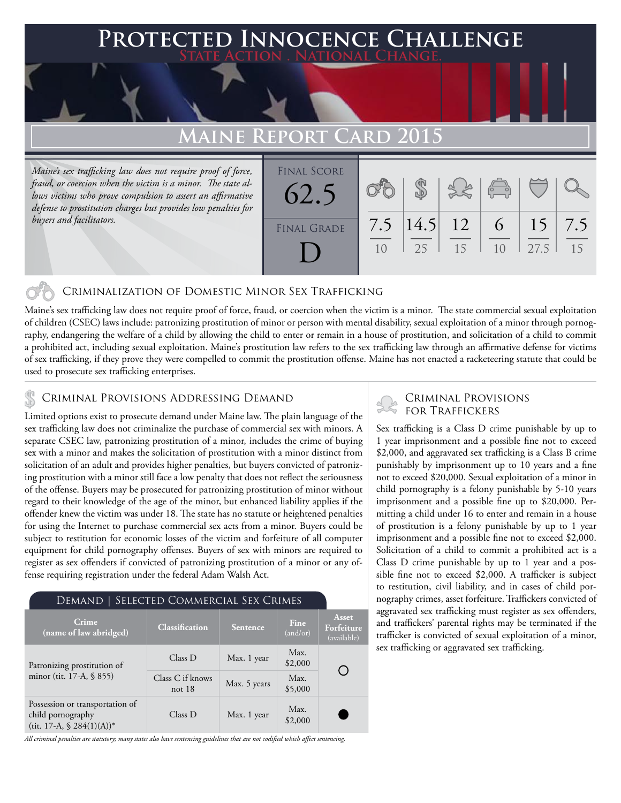### **FED INNOCENCE CHALLENGE State Action . National Change.**

## **Maine Report Card 2015**

*Maine's sex trafficking law does not require proof of force, fraud, or coercion when the victim is a minor. The state allows victims who prove compulsion to assert an affirmative defense to prostitution charges but provides low penalties for buyers and facilitators.*

| <b>FINAL SCORE</b><br>62.5 |     |                   | 35 | $\begin{pmatrix} 0 & 0 \\ 0 & 0 \end{pmatrix}$ |                         |           |
|----------------------------|-----|-------------------|----|------------------------------------------------|-------------------------|-----------|
| <b>FINAL GRADE</b>         | 7.5 | $ 14.5 $ 12<br>25 | 15 | 6 <sup>6</sup><br>10                           | 15 <sup>7</sup><br>27.5 | 7.5<br>15 |

#### Criminalization of Domestic Minor Sex Trafficking

Maine's sex trafficking law does not require proof of force, fraud, or coercion when the victim is a minor. The state commercial sexual exploitation of children (CSEC) laws include: patronizing prostitution of minor or person with mental disability, sexual exploitation of a minor through pornography, endangering the welfare of a child by allowing the child to enter or remain in a house of prostitution, and solicitation of a child to commit a prohibited act, including sexual exploitation. Maine's prostitution law refers to the sex trafficking law through an affirmative defense for victims of sex trafficking, if they prove they were compelled to commit the prostitution offense. Maine has not enacted a racketeering statute that could be used to prosecute sex trafficking enterprises.

### Criminal Provisions Addressing Demand

Limited options exist to prosecute demand under Maine law. The plain language of the sex trafficking law does not criminalize the purchase of commercial sex with minors. A separate CSEC law, patronizing prostitution of a minor, includes the crime of buying sex with a minor and makes the solicitation of prostitution with a minor distinct from solicitation of an adult and provides higher penalties, but buyers convicted of patronizing prostitution with a minor still face a low penalty that does not reflect the seriousness of the offense. Buyers may be prosecuted for patronizing prostitution of minor without regard to their knowledge of the age of the minor, but enhanced liability applies if the offender knew the victim was under 18. The state has no statute or heightened penalties for using the Internet to purchase commercial sex acts from a minor. Buyers could be subject to restitution for economic losses of the victim and forfeiture of all computer equipment for child pornography offenses. Buyers of sex with minors are required to register as sex offenders if convicted of patronizing prostitution of a minor or any offense requiring registration under the federal Adam Walsh Act.

### Demand | Selected Commercial Sex Crimes

| Crime<br>(name of law abridged)                                                       | <b>Classification</b>        | Sentence     | Fine<br>(and/or) | Asset<br>Forfeiture<br>(available) |  |
|---------------------------------------------------------------------------------------|------------------------------|--------------|------------------|------------------------------------|--|
| Patronizing prostitution of                                                           | Class D                      | Max. 1 year  | Max.<br>\$2,000  |                                    |  |
| minor (tit. 17-A, § 855)                                                              | Class C if knows<br>not $18$ | Max. 5 years | Max.<br>\$5,000  |                                    |  |
| Possession or transportation of<br>child pornography<br>(tit. 17-A, $\$ 284(1)(A))^*$ | Class D                      | Max. 1 year  | Max.<br>\$2,000  |                                    |  |

*All criminal penalties are statutory; many states also have sentencing guidelines that are not codified which affect sentencing.* 

# Criminal Provisions

Sex trafficking is a Class D crime punishable by up to 1 year imprisonment and a possible fine not to exceed \$2,000, and aggravated sex trafficking is a Class B crime punishably by imprisonment up to 10 years and a fine not to exceed \$20,000. Sexual exploitation of a minor in child pornography is a felony punishable by 5-10 years imprisonment and a possible fine up to \$20,000. Permitting a child under 16 to enter and remain in a house of prostitution is a felony punishable by up to 1 year imprisonment and a possible fine not to exceed \$2,000. Solicitation of a child to commit a prohibited act is a Class D crime punishable by up to 1 year and a possible fine not to exceed \$2,000. A trafficker is subject to restitution, civil liability, and in cases of child pornography crimes, asset forfeiture. Traffickers convicted of aggravated sex trafficking must register as sex offenders, and traffickers' parental rights may be terminated if the trafficker is convicted of sexual exploitation of a minor, sex trafficking or aggravated sex trafficking.